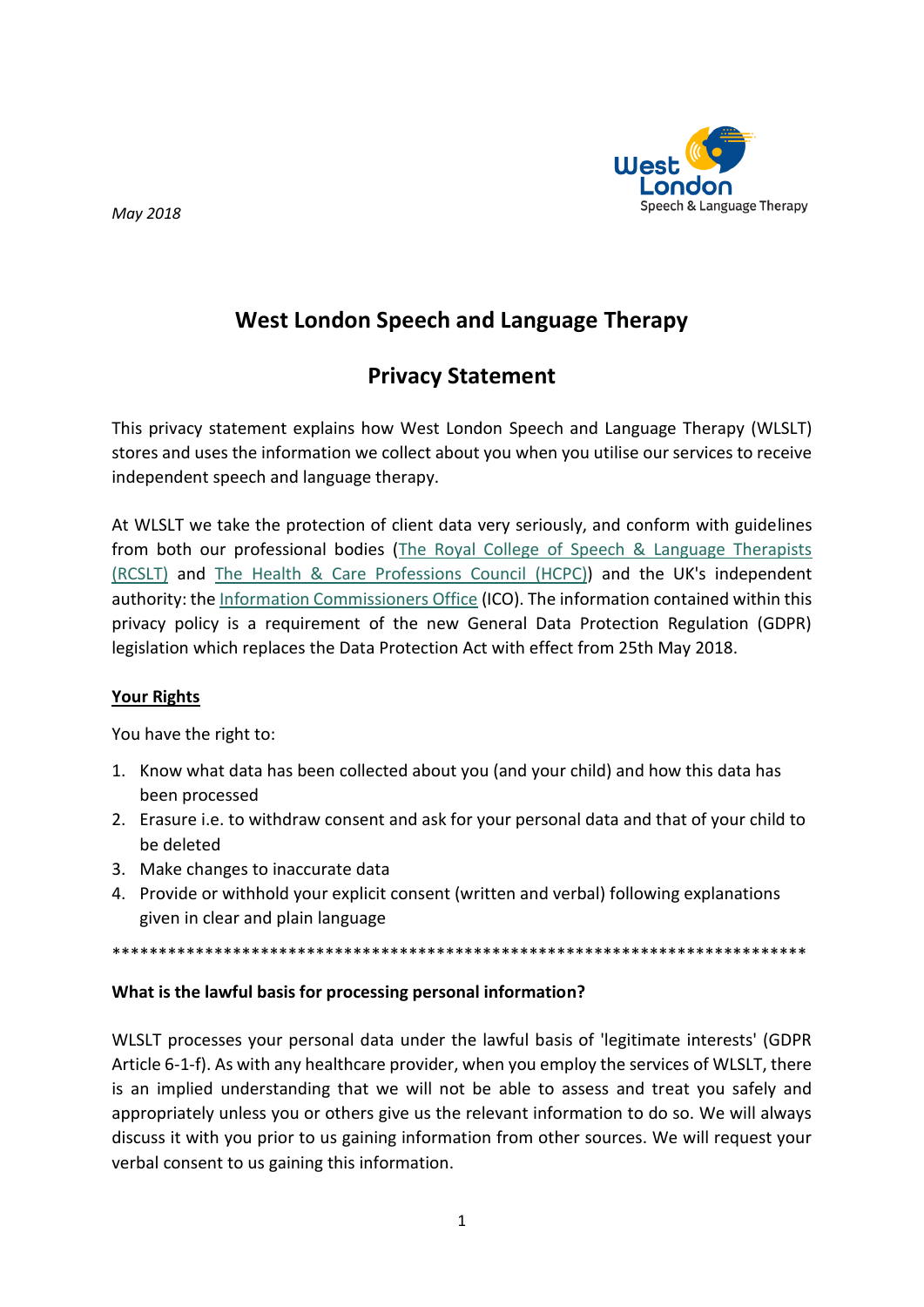

May 2018

# **West London Speech and Language Therapy**

## **Privacy Statement**

This privacy statement explains how West London Speech and Language Therapy (WLSLT) stores and uses the information we collect about you when you utilise our services to receive independent speech and language therapy.

At WLSLT we take the protection of client data very seriously, and conform with guidelines from both our professional bodies (The Royal College of Speech & Language Therapists (RCSLT) and The Health & Care Professions Council (HCPC)) and the UK's independent authority: the Information Commissioners Office (ICO). The information contained within this privacy policy is a requirement of the new General Data Protection Regulation (GDPR) legislation which replaces the Data Protection Act with effect from 25th May 2018.

## **Your Rights**

You have the right to:

- 1. Know what data has been collected about you (and your child) and how this data has been processed
- 2. Erasure i.e. to withdraw consent and ask for your personal data and that of your child to be deleted
- 3. Make changes to inaccurate data
- 4. Provide or withhold your explicit consent (written and verbal) following explanations given in clear and plain language

## What is the lawful basis for processing personal information?

WLSLT processes your personal data under the lawful basis of 'legitimate interests' (GDPR Article 6-1-f). As with any healthcare provider, when you employ the services of WLSLT, there is an implied understanding that we will not be able to assess and treat you safely and appropriately unless you or others give us the relevant information to do so. We will always discuss it with you prior to us gaining information from other sources. We will request your verbal consent to us gaining this information.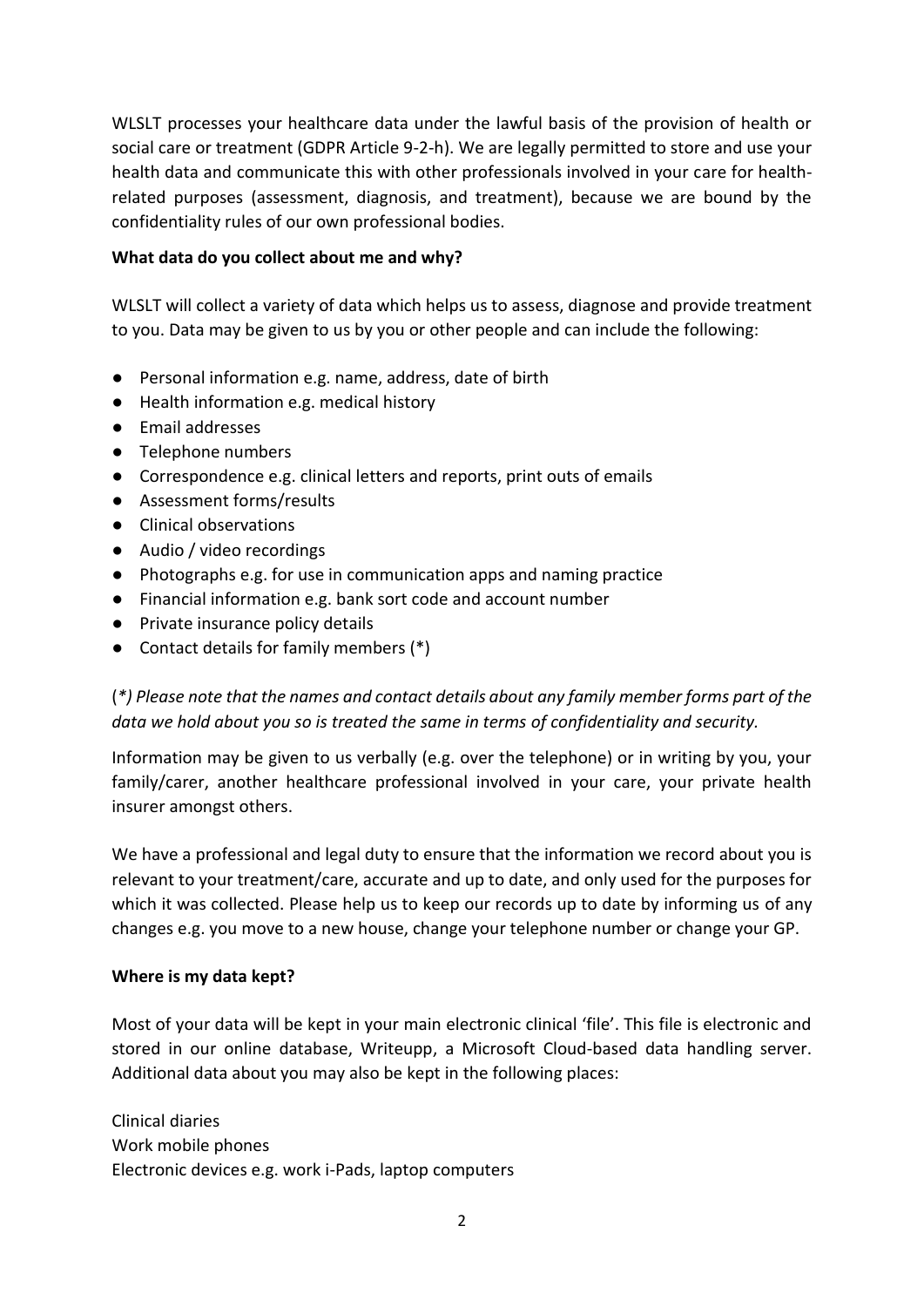WLSLT processes your healthcare data under the lawful basis of the provision of health or social care or treatment (GDPR Article 9-2-h). We are legally permitted to store and use your health data and communicate this with other professionals involved in your care for healthrelated purposes (assessment, diagnosis, and treatment), because we are bound by the confidentiality rules of our own professional bodies.

## **What data do you collect about me and why?**

WLSLT will collect a variety of data which helps us to assess, diagnose and provide treatment to you. Data may be given to us by you or other people and can include the following:

- Personal information e.g. name, address, date of birth
- Health information e.g. medical history
- Email addresses
- Telephone numbers
- Correspondence e.g. clinical letters and reports, print outs of emails
- Assessment forms/results
- Clinical observations
- Audio / video recordings
- Photographs e.g. for use in communication apps and naming practice
- Financial information e.g. bank sort code and account number
- Private insurance policy details
- Contact details for family members (\*)

(*\*) Please note that the names and contact details about any family member forms part of the data we hold about you so is treated the same in terms of confidentiality and security.* 

Information may be given to us verbally (e.g. over the telephone) or in writing by you, your family/carer, another healthcare professional involved in your care, your private health insurer amongst others.

We have a professional and legal duty to ensure that the information we record about you is relevant to your treatment/care, accurate and up to date, and only used for the purposes for which it was collected. Please help us to keep our records up to date by informing us of any changes e.g. you move to a new house, change your telephone number or change your GP.

## **Where is my data kept?**

Most of your data will be kept in your main electronic clinical 'file'. This file is electronic and stored in our online database, Writeupp, a Microsoft Cloud-based data handling server. Additional data about you may also be kept in the following places:

Clinical diaries Work mobile phones Electronic devices e.g. work i-Pads, laptop computers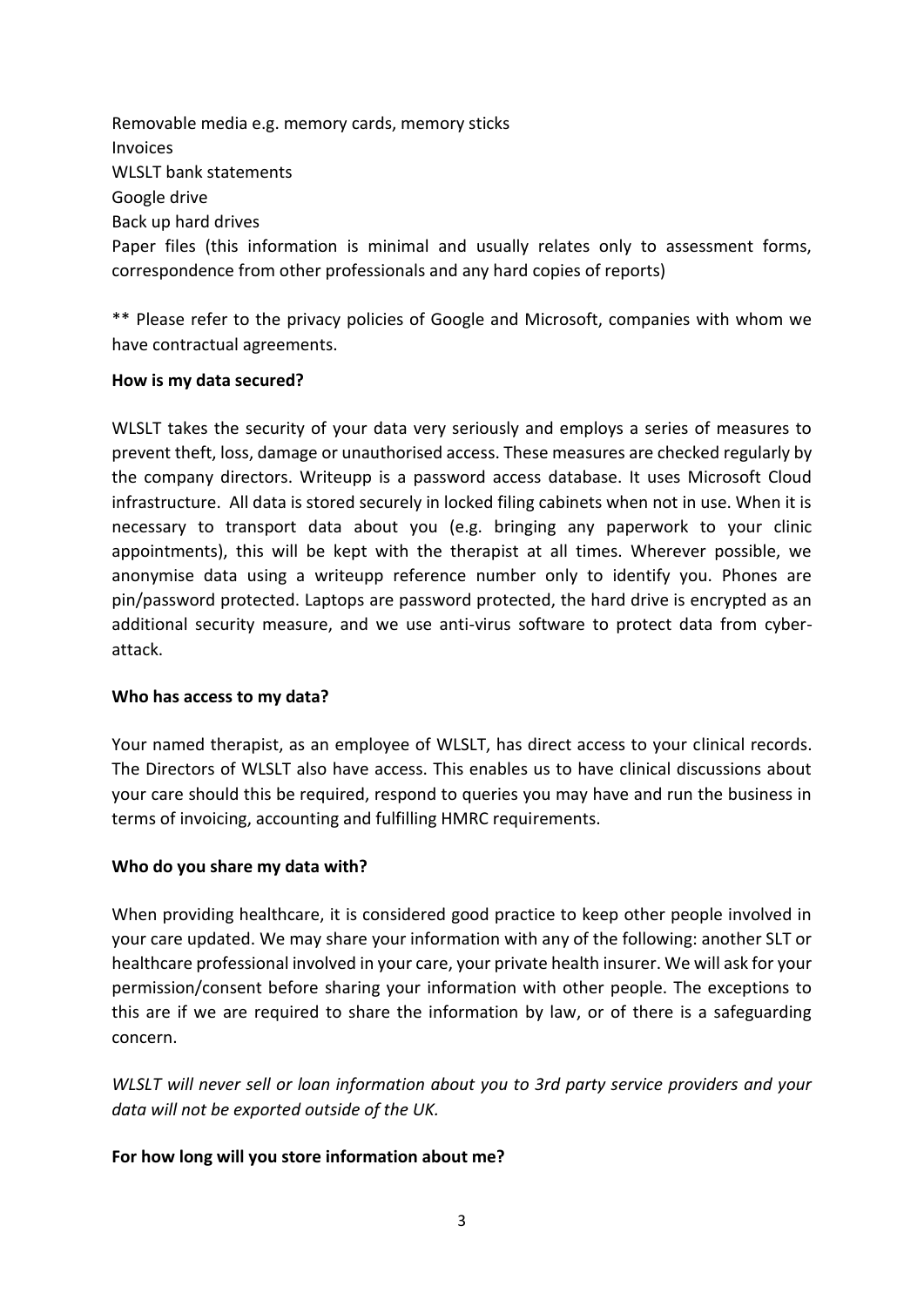Removable media e.g. memory cards, memory sticks Invoices WLSLT bank statements Google drive Back up hard drives Paper files (this information is minimal and usually relates only to assessment forms, correspondence from other professionals and any hard copies of reports)

\*\* Please refer to the privacy policies of Google and Microsoft, companies with whom we have contractual agreements.

#### **How is my data secured?**

WLSLT takes the security of your data very seriously and employs a series of measures to prevent theft, loss, damage or unauthorised access. These measures are checked regularly by the company directors. Writeupp is a password access database. It uses Microsoft Cloud infrastructure. All data is stored securely in locked filing cabinets when not in use. When it is necessary to transport data about you (e.g. bringing any paperwork to your clinic appointments), this will be kept with the therapist at all times. Wherever possible, we anonymise data using a writeupp reference number only to identify you. Phones are pin/password protected. Laptops are password protected, the hard drive is encrypted as an additional security measure, and we use anti-virus software to protect data from cyberattack.

#### **Who has access to my data?**

Your named therapist, as an employee of WLSLT, has direct access to your clinical records. The Directors of WLSLT also have access. This enables us to have clinical discussions about your care should this be required, respond to queries you may have and run the business in terms of invoicing, accounting and fulfilling HMRC requirements.

## **Who do you share my data with?**

When providing healthcare, it is considered good practice to keep other people involved in your care updated. We may share your information with any of the following: another SLT or healthcare professional involved in your care, your private health insurer. We will ask for your permission/consent before sharing your information with other people. The exceptions to this are if we are required to share the information by law, or of there is a safeguarding concern.

*WLSLT will never sell or loan information about you to 3rd party service providers and your data will not be exported outside of the UK.*

## **For how long will you store information about me?**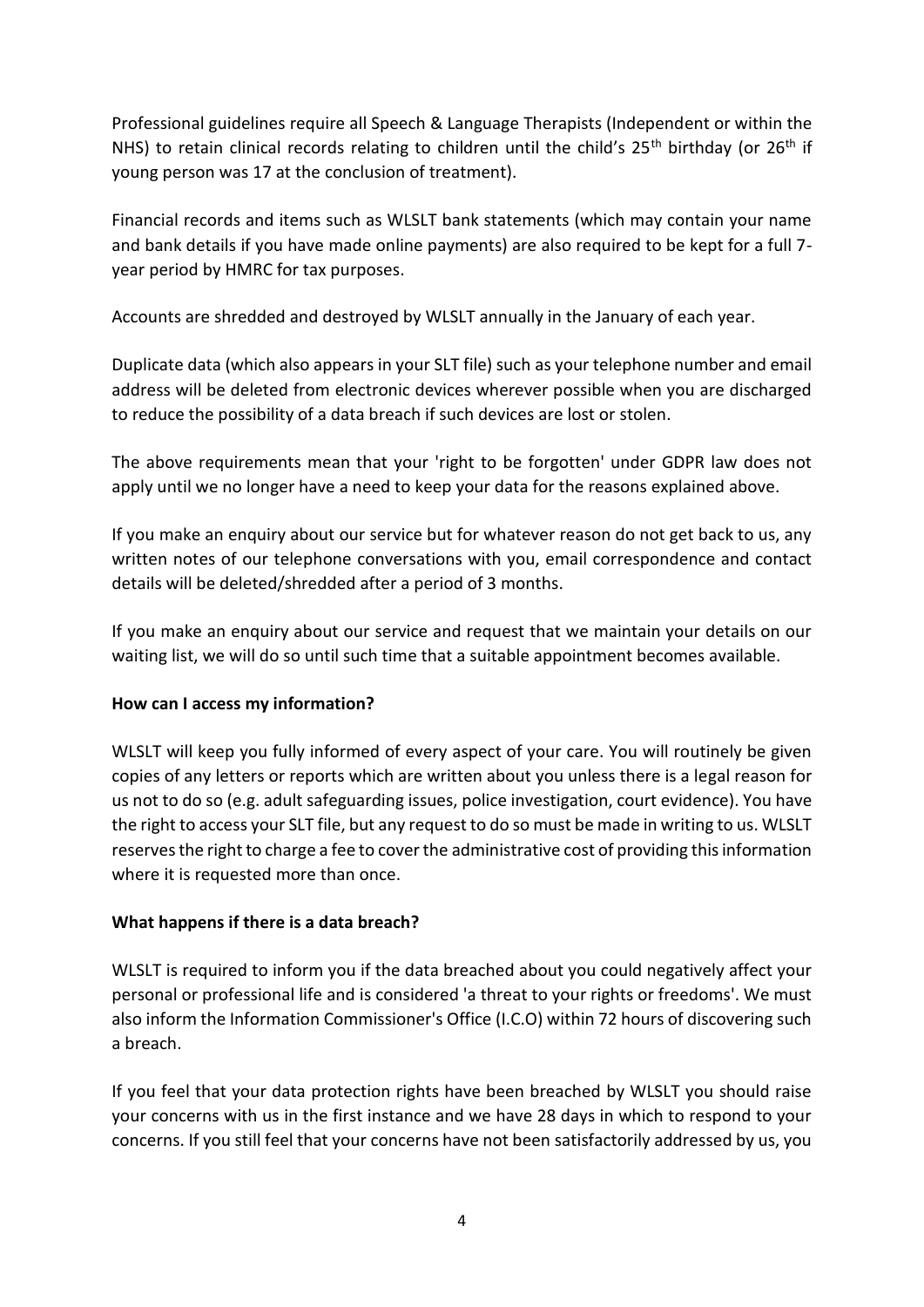Professional guidelines require all Speech & Language Therapists (Independent or within the NHS) to retain clinical records relating to children until the child's  $25<sup>th</sup>$  birthday (or  $26<sup>th</sup>$  if young person was 17 at the conclusion of treatment).

Financial records and items such as WLSLT bank statements (which may contain your name and bank details if you have made online payments) are also required to be kept for a full 7 year period by HMRC for tax purposes.

Accounts are shredded and destroyed by WLSLT annually in the January of each year.

Duplicate data (which also appears in your SLT file) such as your telephone number and email address will be deleted from electronic devices wherever possible when you are discharged to reduce the possibility of a data breach if such devices are lost or stolen.

The above requirements mean that your 'right to be forgotten' under GDPR law does not apply until we no longer have a need to keep your data for the reasons explained above.

If you make an enquiry about our service but for whatever reason do not get back to us, any written notes of our telephone conversations with you, email correspondence and contact details will be deleted/shredded after a period of 3 months.

If you make an enquiry about our service and request that we maintain your details on our waiting list, we will do so until such time that a suitable appointment becomes available.

## **How can I access my information?**

WLSLT will keep you fully informed of every aspect of your care. You will routinely be given copies of any letters or reports which are written about you unless there is a legal reason for us not to do so (e.g. adult safeguarding issues, police investigation, court evidence). You have the right to access your SLT file, but any request to do so must be made in writing to us. WLSLT reserves the right to charge a fee to cover the administrative cost of providing this information where it is requested more than once.

## **What happens if there is a data breach?**

WLSLT is required to inform you if the data breached about you could negatively affect your personal or professional life and is considered 'a threat to your rights or freedoms'. We must also inform the Information Commissioner's Office (I.C.O) within 72 hours of discovering such a breach.

If you feel that your data protection rights have been breached by WLSLT you should raise your concerns with us in the first instance and we have 28 days in which to respond to your concerns. If you still feel that your concerns have not been satisfactorily addressed by us, you